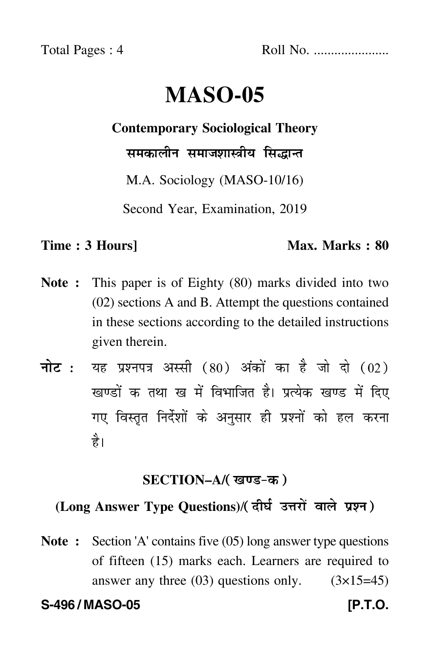Total Pages : 4 Roll No. ......................

# **MASO-05**

### **Contemporary Sociological Theory**

समकालीन समाजशास्त्रीय सिद्धान्त

M.A. Sociology (MASO-10/16)

Second Year, Examination, 2019

## **Time : 3 Hours]** Max. Marks : 80

- **Note :** This paper is of Eighty (80) marks divided into two (02) sections A and B. Attempt the questions contained in these sections according to the detailed instructions given therein.
- नोट : यह प्रश्नपत्र अस्सी (80) अंकों का है जो दो (02) खण्डों क तथा ख में विभाजित है। प्रत्येक खण्ड में दिए गए विस्तृत निर्देशों के अनुसार ही प्रश्नों को हल करन<mark>ा</mark> है।

# **SECTION–A/**

# (Long Answer Type Questions)/( दीर्घ उत्तरों वाले प्रश्न )

**Note :** Section 'A' contains five (05) long answer type questions of fifteen (15) marks each. Learners are required to answer any three  $(03)$  questions only.  $(3\times15=45)$ 

**S-496 / MASO-05 [P.T.O.**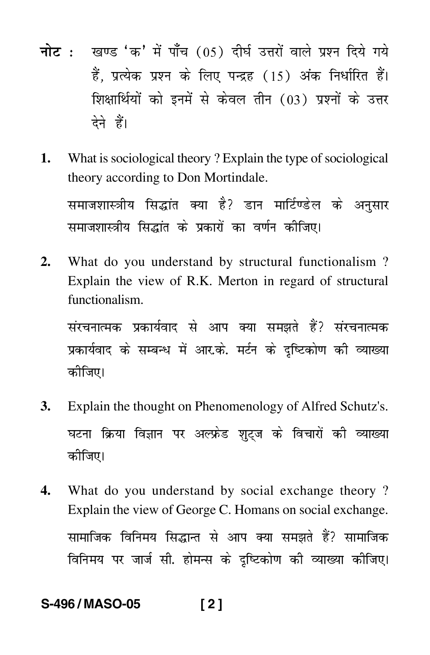- <mark>नोट</mark> : खण्ड 'क' में पाँच (05) दीर्घ उत्तरों वाले प्रश्न दिये गये हैं, प्रत्येक प्रश्न के लिए पन्द्रह (15) अंक निर्धारित हैं। शिक्षार्थियों को इनमें से केवल तीन (03) प्रश्नों के उत्तर देने हैं।
- **1.** What is sociological theory ? Explain the type of sociological theory according to Don Mortindale.

समाजशास्त्रीय सिद्धांत क्या है? डान मार्टिण्डेल के अनुसार समाजशास्त्रीय सिद्धांत के प्रकारों का वर्णन कीजिए।

**2.** What do you understand by structural functionalism ? Explain the view of R.K. Merton in regard of structural functionalism.

संरचनात्मक प्रकार्यवाद से आप क्या समझते हैं? संरचनात्मक प्रकार्यवाद के सम्बन्ध में आर.के. मर्टन के दृष्टिकोण की व्याख्या कोजिए।

- **3.** Explain the thought on Phenomenology of Alfred Schutz's. घटना क्रिया विज्ञान पर अल्फ्रेड शुट्ज के विचारों की व्याख्या कोजिए।
- **4.** What do you understand by social exchange theory ? Explain the view of George C. Homans on social exchange. सामाजिक विनिमय सिद्धान्त से आप क्या समझते हैं? सामाजिक विनिमय पर जार्ज सी. होमन्स के दृष्टिकोण की व्याख्या कीजिए।

# **S-496 / MASO-05 [ 2 ]**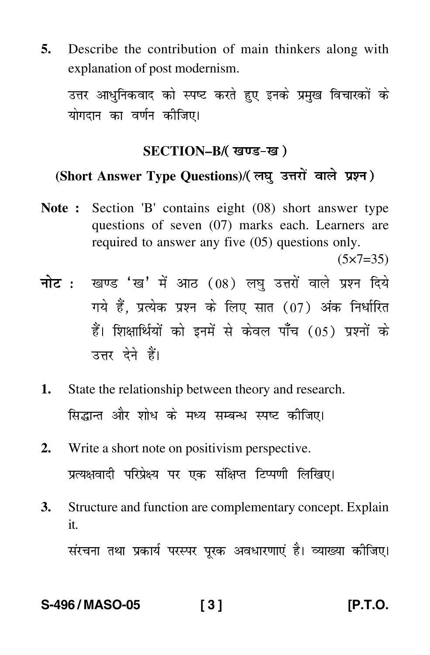**5.** Describe the contribution of main thinkers along with explanation of post modernism.

उत्तर आधुनिकवाद को स्पष्ट करते हुए इनके प्रमुख विचारकों के योगदान का वर्णन कीजिए।

### **SECTION–B/**

# (Short Answer Type Questions)/( लघु उत्तरों वाले प्रश्न )

**Note :** Section 'B' contains eight (08) short answer type questions of seven (07) marks each. Learners are required to answer any five (05) questions only.

 $(5 \times 7 = 35)$ 

- <mark>नोट</mark> : खण्ड 'ख' में आठ (08) लघु उत्तरों वाले प्रश्न दिये गये हैं, प्रत्येक प्रश्न के लिए सात (07) अंक निर्धारित हैं। शिक्षार्थियों को इनमें से केवल पाँच (05) प्रश्नों के उत्तर देने हैं।
- **1.** State the relationship between theory and research. सिद्धान्त और शोध के मध्य सम्बन्ध स्पष्ट कीजिए।
- **2.** Write a short note on positivism perspective. प्रत्यक्षवादी परिप्रेक्ष्य पर एक संक्षिप्त टिप्पणी लिखिए।
- **3.** Structure and function are complementary concept. Explain it.

संरचना तथा प्रकार्य परस्पर पूरक अवधारणाएं है। व्याख्या कीजिए।

### **S-496 / MASO-05 [ 3 ] [P.T.O.**